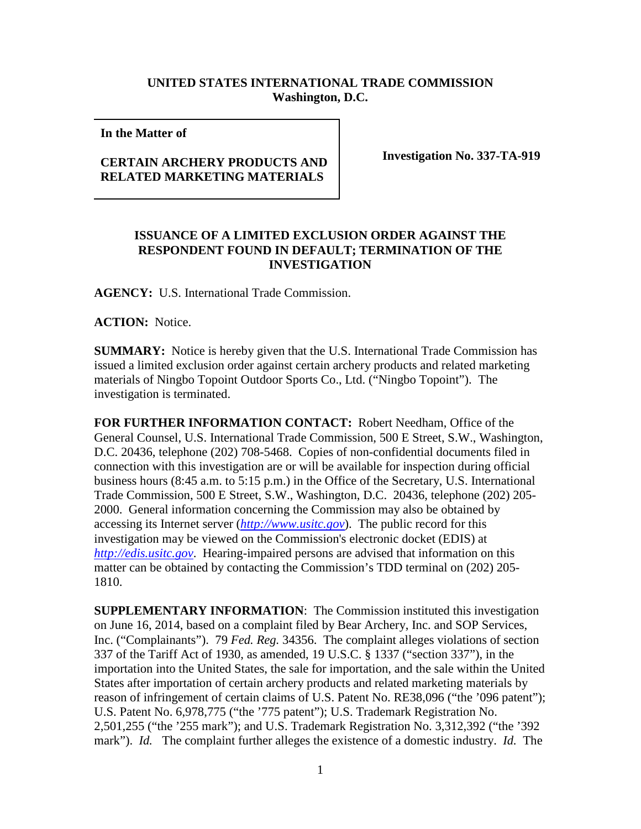## **UNITED STATES INTERNATIONAL TRADE COMMISSION Washington, D.C.**

**In the Matter of** 

## **CERTAIN ARCHERY PRODUCTS AND RELATED MARKETING MATERIALS**

**Investigation No. 337-TA-919**

## **ISSUANCE OF A LIMITED EXCLUSION ORDER AGAINST THE RESPONDENT FOUND IN DEFAULT; TERMINATION OF THE INVESTIGATION**

**AGENCY:** U.S. International Trade Commission.

**ACTION:** Notice.

**SUMMARY:** Notice is hereby given that the U.S. International Trade Commission has issued a limited exclusion order against certain archery products and related marketing materials of Ningbo Topoint Outdoor Sports Co., Ltd. ("Ningbo Topoint"). The investigation is terminated.

**FOR FURTHER INFORMATION CONTACT:** Robert Needham, Office of the General Counsel, U.S. International Trade Commission, 500 E Street, S.W., Washington, D.C. 20436, telephone (202) 708-5468. Copies of non-confidential documents filed in connection with this investigation are or will be available for inspection during official business hours (8:45 a.m. to 5:15 p.m.) in the Office of the Secretary, U.S. International Trade Commission, 500 E Street, S.W., Washington, D.C. 20436, telephone (202) 205- 2000. General information concerning the Commission may also be obtained by accessing its Internet server (*[http://www.usitc.gov](http://www.usitc.gov/)*). The public record for this investigation may be viewed on the Commission's electronic docket (EDIS) at *[http://edis.usitc.gov](http://edis.usitc.gov/)*. Hearing-impaired persons are advised that information on this matter can be obtained by contacting the Commission's TDD terminal on (202) 205- 1810.

**SUPPLEMENTARY INFORMATION**: The Commission instituted this investigation on June 16, 2014, based on a complaint filed by Bear Archery, Inc. and SOP Services, Inc. ("Complainants"). 79 *Fed. Reg.* 34356. The complaint alleges violations of section 337 of the Tariff Act of 1930, as amended, 19 U.S.C. § 1337 ("section 337"), in the importation into the United States, the sale for importation, and the sale within the United States after importation of certain archery products and related marketing materials by reason of infringement of certain claims of U.S. Patent No. RE38,096 ("the '096 patent"); U.S. Patent No. 6,978,775 ("the '775 patent"); U.S. Trademark Registration No. 2,501,255 ("the '255 mark"); and U.S. Trademark Registration No. 3,312,392 ("the '392 mark"). *Id.* The complaint further alleges the existence of a domestic industry. *Id.* The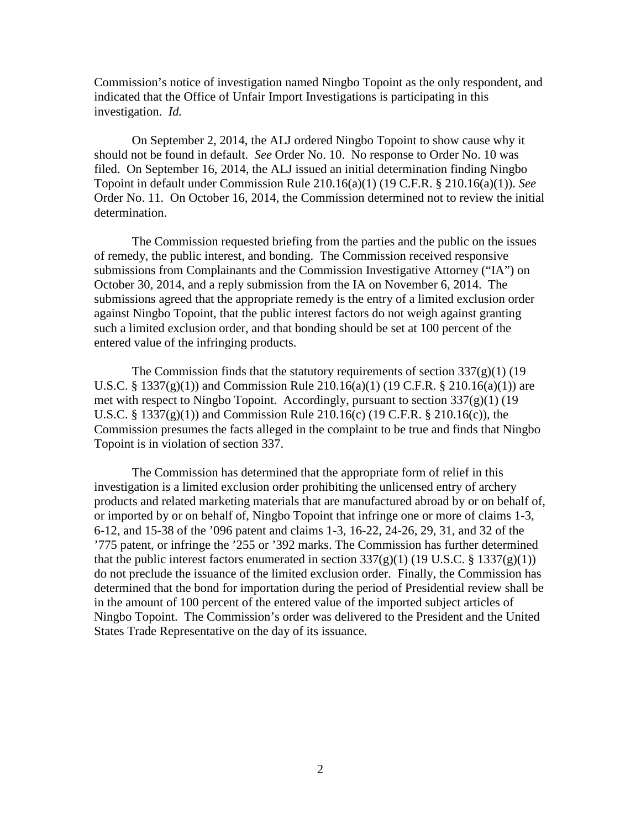Commission's notice of investigation named Ningbo Topoint as the only respondent, and indicated that the Office of Unfair Import Investigations is participating in this investigation. *Id.*

On September 2, 2014, the ALJ ordered Ningbo Topoint to show cause why it should not be found in default. *See* Order No. 10. No response to Order No. 10 was filed. On September 16, 2014, the ALJ issued an initial determination finding Ningbo Topoint in default under Commission Rule 210.16(a)(1) (19 C.F.R. § 210.16(a)(1)). *See* Order No. 11. On October 16, 2014, the Commission determined not to review the initial determination.

The Commission requested briefing from the parties and the public on the issues of remedy, the public interest, and bonding. The Commission received responsive submissions from Complainants and the Commission Investigative Attorney ("IA") on October 30, 2014, and a reply submission from the IA on November 6, 2014. The submissions agreed that the appropriate remedy is the entry of a limited exclusion order against Ningbo Topoint, that the public interest factors do not weigh against granting such a limited exclusion order, and that bonding should be set at 100 percent of the entered value of the infringing products.

The Commission finds that the statutory requirements of section  $337(g)(1)(19)$ U.S.C. § 1337(g)(1)) and Commission Rule 210.16(a)(1) (19 C.F.R. § 210.16(a)(1)) are met with respect to Ningbo Topoint. Accordingly, pursuant to section  $337(g)(1)$  (19 U.S.C. § 1337(g)(1)) and Commission Rule 210.16(c) (19 C.F.R. § 210.16(c)), the Commission presumes the facts alleged in the complaint to be true and finds that Ningbo Topoint is in violation of section 337.

The Commission has determined that the appropriate form of relief in this investigation is a limited exclusion order prohibiting the unlicensed entry of archery products and related marketing materials that are manufactured abroad by or on behalf of, or imported by or on behalf of, Ningbo Topoint that infringe one or more of claims 1-3, 6-12, and 15-38 of the '096 patent and claims 1-3, 16-22, 24-26, 29, 31, and 32 of the '775 patent, or infringe the '255 or '392 marks. The Commission has further determined that the public interest factors enumerated in section  $337(g)(1)$  (19 U.S.C. § 1337(g)(1)) do not preclude the issuance of the limited exclusion order. Finally, the Commission has determined that the bond for importation during the period of Presidential review shall be in the amount of 100 percent of the entered value of the imported subject articles of Ningbo Topoint. The Commission's order was delivered to the President and the United States Trade Representative on the day of its issuance.